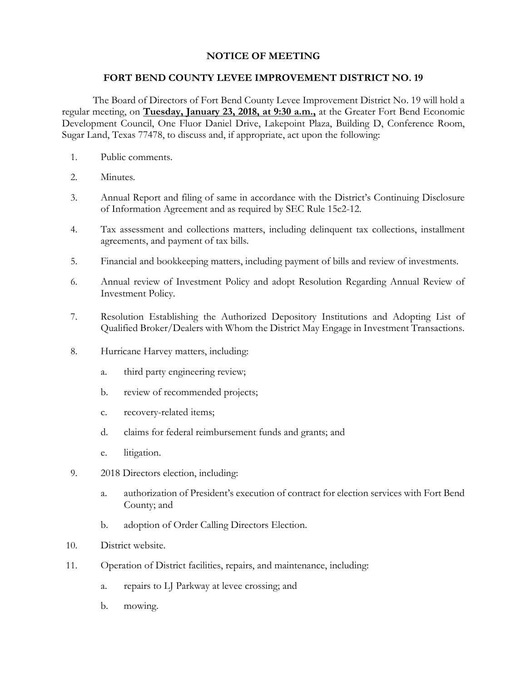## **NOTICE OF MEETING**

## **FORT BEND COUNTY LEVEE IMPROVEMENT DISTRICT NO. 19**

The Board of Directors of Fort Bend County Levee Improvement District No. 19 will hold a regular meeting, on **Tuesday, January 23, 2018, at 9:30 a.m.,** at the Greater Fort Bend Economic Development Council, One Fluor Daniel Drive, Lakepoint Plaza, Building D, Conference Room, Sugar Land, Texas 77478, to discuss and, if appropriate, act upon the following:

- 1. Public comments.
- 2. Minutes.
- 3. Annual Report and filing of same in accordance with the District's Continuing Disclosure of Information Agreement and as required by SEC Rule 15c2-12.
- 4. Tax assessment and collections matters, including delinquent tax collections, installment agreements, and payment of tax bills.
- 5. Financial and bookkeeping matters, including payment of bills and review of investments.
- 6. Annual review of Investment Policy and adopt Resolution Regarding Annual Review of Investment Policy.
- 7. Resolution Establishing the Authorized Depository Institutions and Adopting List of Qualified Broker/Dealers with Whom the District May Engage in Investment Transactions.
- 8. Hurricane Harvey matters, including:
	- a. third party engineering review;
	- b. review of recommended projects;
	- c. recovery-related items;
	- d. claims for federal reimbursement funds and grants; and
	- e. litigation.
- 9. 2018 Directors election, including:
	- a. authorization of President's execution of contract for election services with Fort Bend County; and
	- b. adoption of Order Calling Directors Election.
- 10. District website.
- 11. Operation of District facilities, repairs, and maintenance, including:
	- a. repairs to LJ Parkway at levee crossing; and
	- b. mowing.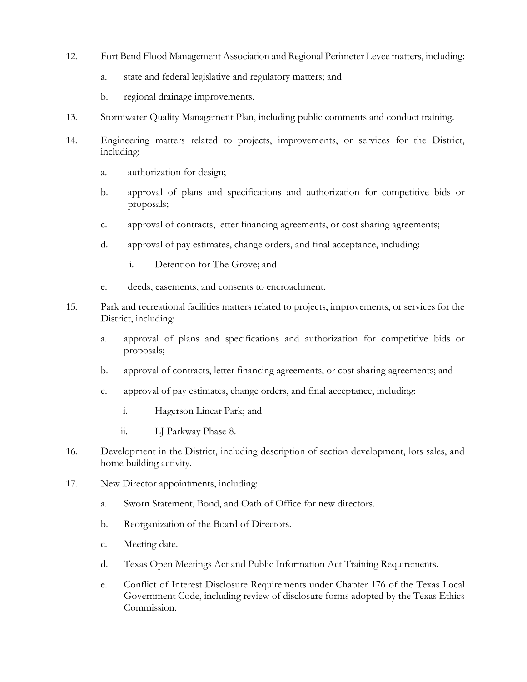- 12. Fort Bend Flood Management Association and Regional Perimeter Levee matters, including:
	- a. state and federal legislative and regulatory matters; and
	- b. regional drainage improvements.
- 13. Stormwater Quality Management Plan, including public comments and conduct training.
- 14. Engineering matters related to projects, improvements, or services for the District, including:
	- a. authorization for design;
	- b. approval of plans and specifications and authorization for competitive bids or proposals;
	- c. approval of contracts, letter financing agreements, or cost sharing agreements;
	- d. approval of pay estimates, change orders, and final acceptance, including:
		- i. Detention for The Grove; and
	- e. deeds, easements, and consents to encroachment.
- 15. Park and recreational facilities matters related to projects, improvements, or services for the District, including:
	- a. approval of plans and specifications and authorization for competitive bids or proposals;
	- b. approval of contracts, letter financing agreements, or cost sharing agreements; and
	- c. approval of pay estimates, change orders, and final acceptance, including:
		- i. Hagerson Linear Park; and
		- ii. LJ Parkway Phase 8.
- 16. Development in the District, including description of section development, lots sales, and home building activity.
- 17. New Director appointments, including:
	- a. Sworn Statement, Bond, and Oath of Office for new directors.
	- b. Reorganization of the Board of Directors.
	- c. Meeting date.
	- d. Texas Open Meetings Act and Public Information Act Training Requirements.
	- e. Conflict of Interest Disclosure Requirements under Chapter 176 of the Texas Local Government Code, including review of disclosure forms adopted by the Texas Ethics Commission.